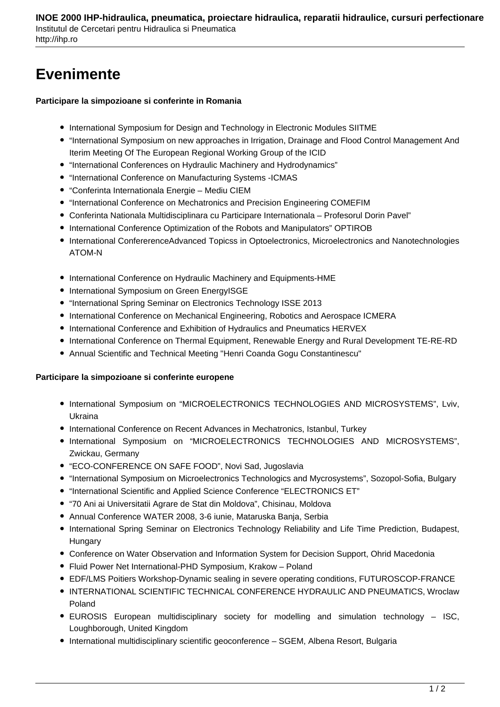## **Evenimente**

## **Participare la simpozioane si conferinte in Romania**

- International Symposium for Design and Technology in Electronic Modules SIITME
- "International Symposium on new approaches in Irrigation, Drainage and Flood Control Management And Iterim Meeting Of The European Regional Working Group of the ICID
- "International Conferences on Hydraulic Machinery and Hydrodynamics"
- "International Conference on Manufacturing Systems -ICMAS
- "Conferinta Internationala Energie Mediu CIEM
- "International Conference on Mechatronics and Precision Engineering COMEFIM
- Conferinta Nationala Multidisciplinara cu Participare Internationala Profesorul Dorin Pavel"
- International Conference Optimization of the Robots and Manipulators" OPTIROB
- International ConfererenceAdvanced Topicss in Optoelectronics, Microelectronics and Nanotechnologies ATOM-N
- International Conference on Hydraulic Machinery and Equipments-HME
- International Symposium on Green EnergyISGE
- "International Spring Seminar on Electronics Technology ISSE 2013
- International Conference on Mechanical Engineering, Robotics and Aerospace ICMERA
- International Conference and Exhibition of Hydraulics and Pneumatics HERVEX
- International Conference on Thermal Equipment, Renewable Energy and Rural Development TE-RE-RD
- Annual Scientific and Technical Meeting "Henri Coanda Gogu Constantinescu"

## **Participare la simpozioane si conferinte europene**

- **International Symposium on "MICROELECTRONICS TECHNOLOGIES AND MICROSYSTEMS", Lviv,** Ukraina
- International Conference on Recent Advances in Mechatronics, Istanbul, Turkey
- $\bullet$  International Symposium on "MICROELECTRONICS TECHNOLOGIES AND MICROSYSTEMS", Zwickau, Germany
- "ECO-CONFERENCE ON SAFE FOOD", Novi Sad, Jugoslavia
- "International Symposium on Microelectronics Technologics and Mycrosystems", Sozopol-Sofia, Bulgary
- "International Scientific and Applied Science Conference "ELECTRONICS ET"
- "70 Ani ai Universitatii Agrare de Stat din Moldova", Chisinau, Moldova
- Annual Conference WATER 2008, 3-6 iunie, Mataruska Banja, Serbia
- International Spring Seminar on Electronics Technology Reliability and Life Time Prediction, Budapest, **Hungary**
- Conference on Water Observation and Information System for Decision Support, Ohrid Macedonia
- Fluid Power Net International-PHD Symposium, Krakow Poland
- EDF/LMS Poitiers Workshop-Dynamic sealing in severe operating conditions, FUTUROSCOP-FRANCE
- **INTERNATIONAL SCIENTIFIC TECHNICAL CONFERENCE HYDRAULIC AND PNEUMATICS, Wroclaw** Poland
- EUROSIS European multidisciplinary society for modelling and simulation technology ISC, Loughborough, United Kingdom
- International multidisciplinary scientific geoconference SGEM, Albena Resort, Bulgaria